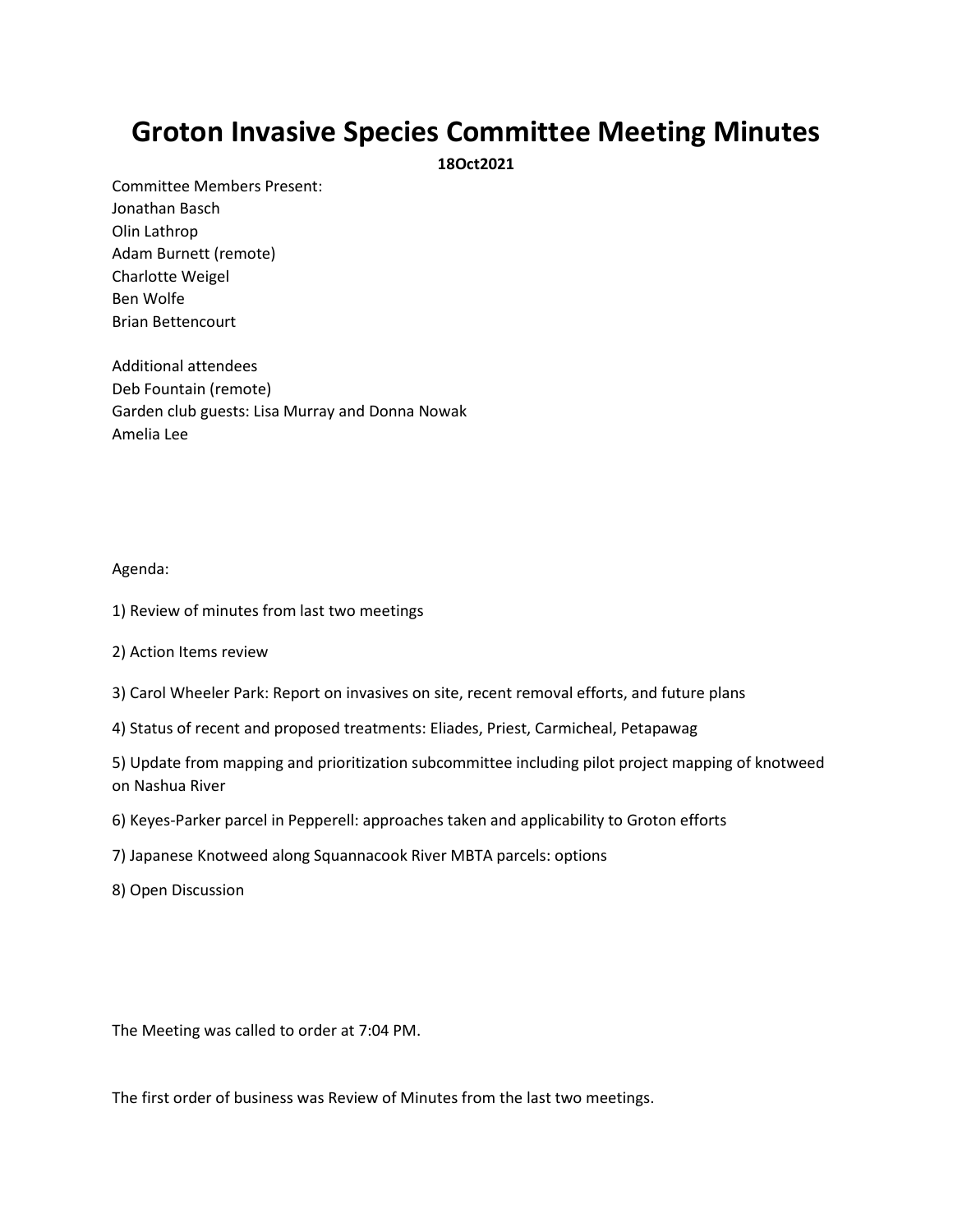## **Groton Invasive Species Committee Meeting Minutes**

**18Oct2021**

Committee Members Present: Jonathan Basch Olin Lathrop Adam Burnett (remote) Charlotte Weigel Ben Wolfe Brian Bettencourt

Additional attendees Deb Fountain (remote) Garden club guests: Lisa Murray and Donna Nowak Amelia Lee

## Agenda:

- 1) Review of minutes from last two meetings
- 2) Action Items review
- 3) Carol Wheeler Park: Report on invasives on site, recent removal efforts, and future plans
- 4) Status of recent and proposed treatments: Eliades, Priest, Carmicheal, Petapawag

5) Update from mapping and prioritization subcommittee including pilot project mapping of knotweed on Nashua River

- 6) Keyes-Parker parcel in Pepperell: approaches taken and applicability to Groton efforts
- 7) Japanese Knotweed along Squannacook River MBTA parcels: options

8) Open Discussion

The Meeting was called to order at 7:04 PM.

The first order of business was Review of Minutes from the last two meetings.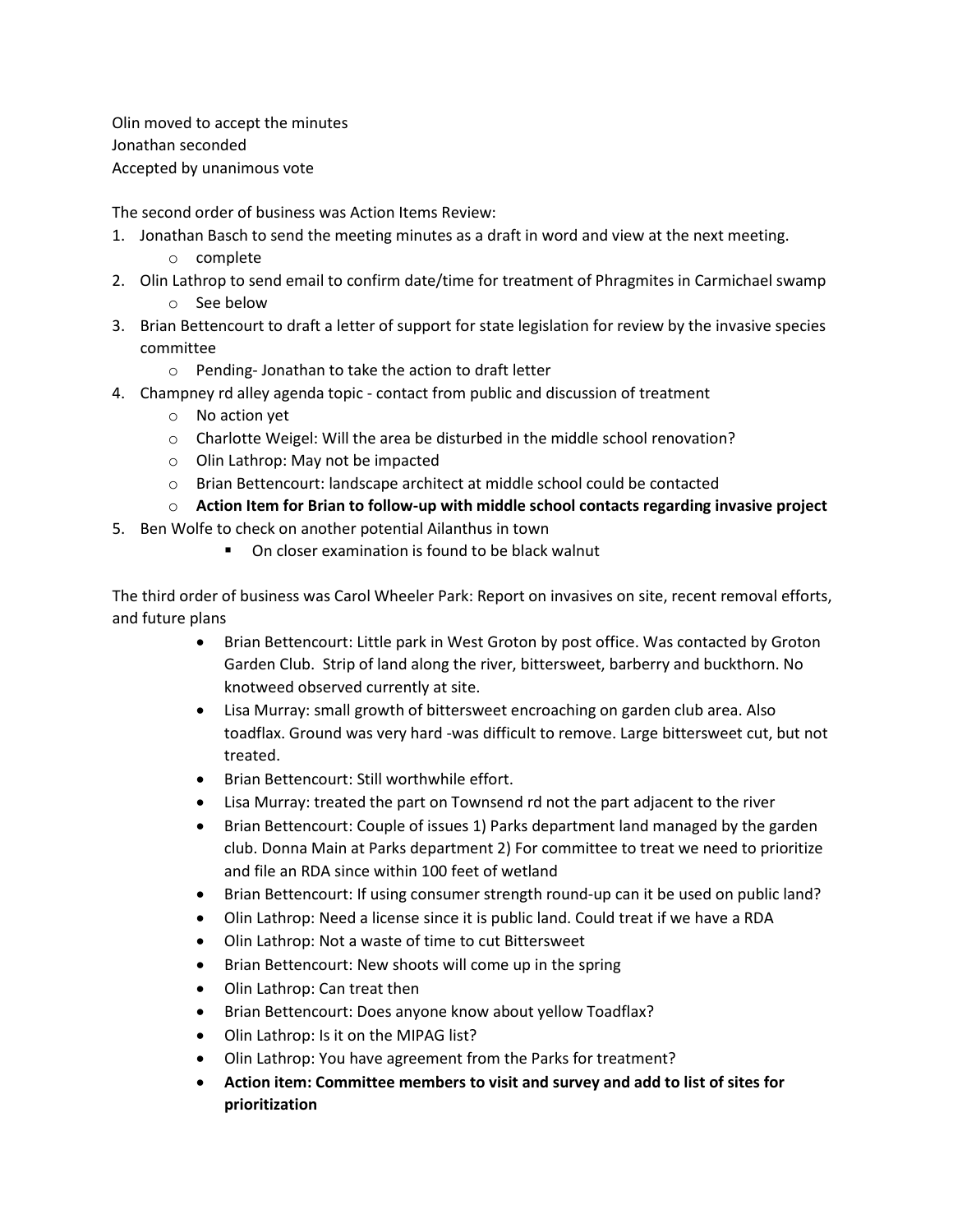Olin moved to accept the minutes Jonathan seconded Accepted by unanimous vote

The second order of business was Action Items Review:

- 1. Jonathan Basch to send the meeting minutes as a draft in word and view at the next meeting. o complete
- 2. Olin Lathrop to send email to confirm date/time for treatment of Phragmites in Carmichael swamp o See below
- 3. Brian Bettencourt to draft a letter of support for state legislation for review by the invasive species committee
	- o Pending- Jonathan to take the action to draft letter
- 4. Champney rd alley agenda topic contact from public and discussion of treatment
	- o No action yet
	- o Charlotte Weigel: Will the area be disturbed in the middle school renovation?
	- o Olin Lathrop: May not be impacted
	- o Brian Bettencourt: landscape architect at middle school could be contacted
	- o **Action Item for Brian to follow-up with middle school contacts regarding invasive project**
- 5. Ben Wolfe to check on another potential Ailanthus in town
	- On closer examination is found to be black walnut

The third order of business was Carol Wheeler Park: Report on invasives on site, recent removal efforts, and future plans

- Brian Bettencourt: Little park in West Groton by post office. Was contacted by Groton Garden Club. Strip of land along the river, bittersweet, barberry and buckthorn. No knotweed observed currently at site.
- Lisa Murray: small growth of bittersweet encroaching on garden club area. Also toadflax. Ground was very hard -was difficult to remove. Large bittersweet cut, but not treated.
- Brian Bettencourt: Still worthwhile effort.
- Lisa Murray: treated the part on Townsend rd not the part adjacent to the river
- Brian Bettencourt: Couple of issues 1) Parks department land managed by the garden club. Donna Main at Parks department 2) For committee to treat we need to prioritize and file an RDA since within 100 feet of wetland
- Brian Bettencourt: If using consumer strength round-up can it be used on public land?
- Olin Lathrop: Need a license since it is public land. Could treat if we have a RDA
- Olin Lathrop: Not a waste of time to cut Bittersweet
- Brian Bettencourt: New shoots will come up in the spring
- Olin Lathrop: Can treat then
- Brian Bettencourt: Does anyone know about yellow Toadflax?
- Olin Lathrop: Is it on the MIPAG list?
- Olin Lathrop: You have agreement from the Parks for treatment?
- **Action item: Committee members to visit and survey and add to list of sites for prioritization**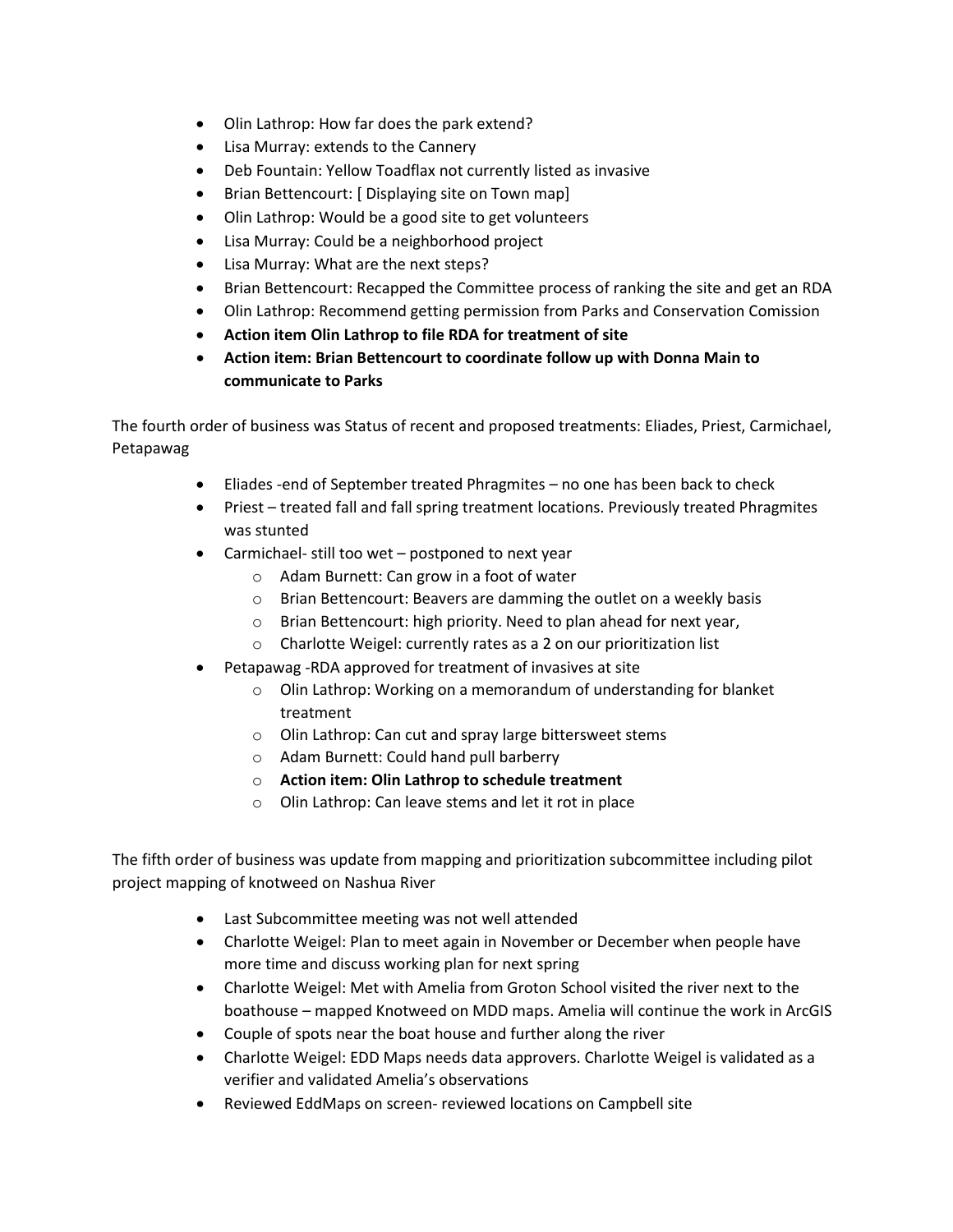- Olin Lathrop: How far does the park extend?
- Lisa Murray: extends to the Cannery
- Deb Fountain: Yellow Toadflax not currently listed as invasive
- Brian Bettencourt: [ Displaying site on Town map]
- Olin Lathrop: Would be a good site to get volunteers
- Lisa Murray: Could be a neighborhood project
- Lisa Murray: What are the next steps?
- Brian Bettencourt: Recapped the Committee process of ranking the site and get an RDA
- Olin Lathrop: Recommend getting permission from Parks and Conservation Comission
- **Action item Olin Lathrop to file RDA for treatment of site**
- **Action item: Brian Bettencourt to coordinate follow up with Donna Main to communicate to Parks**

The fourth order of business was Status of recent and proposed treatments: Eliades, Priest, Carmichael, Petapawag

- Eliades -end of September treated Phragmites no one has been back to check
- Priest treated fall and fall spring treatment locations. Previously treated Phragmites was stunted
- Carmichael- still too wet postponed to next year
	- o Adam Burnett: Can grow in a foot of water
	- o Brian Bettencourt: Beavers are damming the outlet on a weekly basis
	- o Brian Bettencourt: high priority. Need to plan ahead for next year,
	- o Charlotte Weigel: currently rates as a 2 on our prioritization list
- Petapawag -RDA approved for treatment of invasives at site
	- o Olin Lathrop: Working on a memorandum of understanding for blanket treatment
	- o Olin Lathrop: Can cut and spray large bittersweet stems
	- o Adam Burnett: Could hand pull barberry
	- o **Action item: Olin Lathrop to schedule treatment**
	- o Olin Lathrop: Can leave stems and let it rot in place

The fifth order of business was update from mapping and prioritization subcommittee including pilot project mapping of knotweed on Nashua River

- Last Subcommittee meeting was not well attended
- Charlotte Weigel: Plan to meet again in November or December when people have more time and discuss working plan for next spring
- Charlotte Weigel: Met with Amelia from Groton School visited the river next to the boathouse – mapped Knotweed on MDD maps. Amelia will continue the work in ArcGIS
- Couple of spots near the boat house and further along the river
- Charlotte Weigel: EDD Maps needs data approvers. Charlotte Weigel is validated as a verifier and validated Amelia's observations
- Reviewed EddMaps on screen- reviewed locations on Campbell site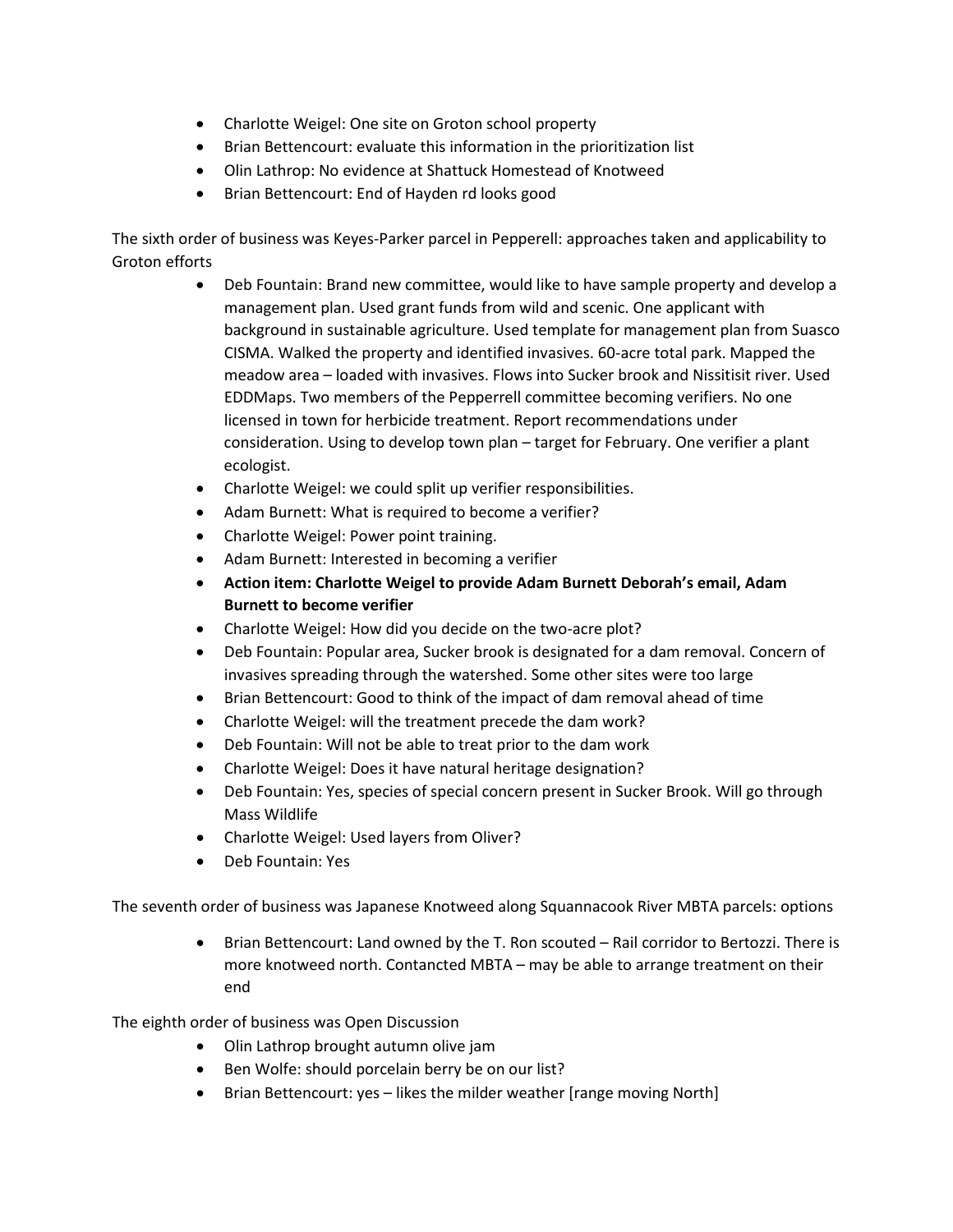- Charlotte Weigel: One site on Groton school property
- Brian Bettencourt: evaluate this information in the prioritization list
- Olin Lathrop: No evidence at Shattuck Homestead of Knotweed
- Brian Bettencourt: End of Hayden rd looks good

The sixth order of business was Keyes-Parker parcel in Pepperell: approaches taken and applicability to Groton efforts

- Deb Fountain: Brand new committee, would like to have sample property and develop a management plan. Used grant funds from wild and scenic. One applicant with background in sustainable agriculture. Used template for management plan from Suasco CISMA. Walked the property and identified invasives. 60-acre total park. Mapped the meadow area – loaded with invasives. Flows into Sucker brook and Nissitisit river. Used EDDMaps. Two members of the Pepperrell committee becoming verifiers. No one licensed in town for herbicide treatment. Report recommendations under consideration. Using to develop town plan – target for February. One verifier a plant ecologist.
- Charlotte Weigel: we could split up verifier responsibilities.
- Adam Burnett: What is required to become a verifier?
- Charlotte Weigel: Power point training.
- Adam Burnett: Interested in becoming a verifier
- **Action item: Charlotte Weigel to provide Adam Burnett Deborah's email, Adam Burnett to become verifier**
- Charlotte Weigel: How did you decide on the two-acre plot?
- Deb Fountain: Popular area, Sucker brook is designated for a dam removal. Concern of invasives spreading through the watershed. Some other sites were too large
- Brian Bettencourt: Good to think of the impact of dam removal ahead of time
- Charlotte Weigel: will the treatment precede the dam work?
- Deb Fountain: Will not be able to treat prior to the dam work
- Charlotte Weigel: Does it have natural heritage designation?
- Deb Fountain: Yes, species of special concern present in Sucker Brook. Will go through Mass Wildlife
- Charlotte Weigel: Used layers from Oliver?
- Deb Fountain: Yes

The seventh order of business was Japanese Knotweed along Squannacook River MBTA parcels: options

• Brian Bettencourt: Land owned by the T. Ron scouted – Rail corridor to Bertozzi. There is more knotweed north. Contancted MBTA – may be able to arrange treatment on their end

The eighth order of business was Open Discussion

- Olin Lathrop brought autumn olive jam
- Ben Wolfe: should porcelain berry be on our list?
- Brian Bettencourt: yes likes the milder weather [range moving North]